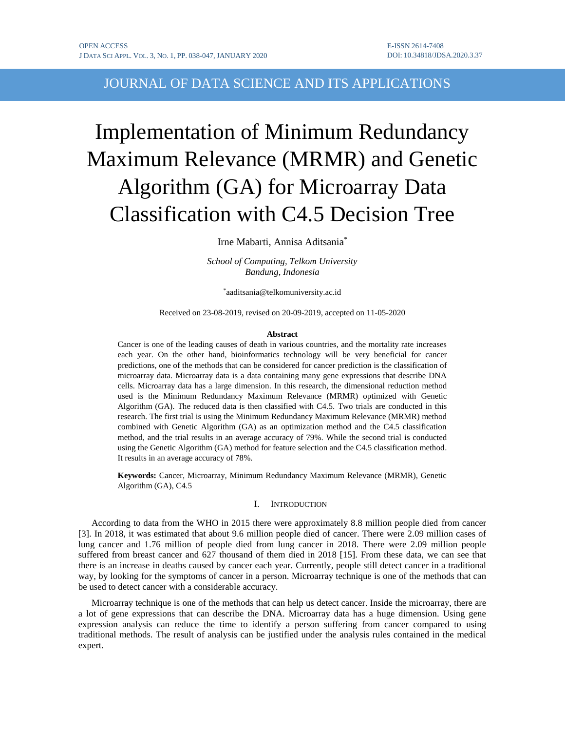# JOURNAL OF DATA SCIENCE AND ITS APPLICATIONS

# Implementation of Minimum Redundancy Maximum Relevance (MRMR) and Genetic Algorithm (GA) for Microarray Data Classification with C4.5 Decision Tree

Irne Mabarti, Annisa Aditsania\*

*School of Computing, Telkom University Bandung, Indonesia*

\* aaditsania@telkomuniversity.ac.id

Received on 23-08-2019, revised on 20-09-2019, accepted on 11-05-2020

#### **Abstract**

Cancer is one of the leading causes of death in various countries, and the mortality rate increases each year. On the other hand, bioinformatics technology will be very beneficial for cancer predictions, one of the methods that can be considered for cancer prediction is the classification of microarray data. Microarray data is a data containing many gene expressions that describe DNA cells. Microarray data has a large dimension. In this research, the dimensional reduction method used is the Minimum Redundancy Maximum Relevance (MRMR) optimized with Genetic Algorithm (GA). The reduced data is then classified with C4.5. Two trials are conducted in this research. The first trial is using the Minimum Redundancy Maximum Relevance (MRMR) method combined with Genetic Algorithm (GA) as an optimization method and the C4.5 classification method, and the trial results in an average accuracy of 79%. While the second trial is conducted using the Genetic Algorithm (GA) method for feature selection and the C4.5 classification method. It results in an average accuracy of 78%.

**Keywords:** Cancer, Microarray, Minimum Redundancy Maximum Relevance (MRMR), Genetic Algorithm (GA), C4.5

#### I. INTRODUCTION

According to data from the WHO in 2015 there were approximately 8.8 million people died from cancer [3]. In 2018, it was estimated that about 9.6 million people died of cancer. There were 2.09 million cases of lung cancer and 1.76 million of people died from lung cancer in 2018. There were 2.09 million people suffered from breast cancer and 627 thousand of them died in 2018 [15]. From these data, we can see that there is an increase in deaths caused by cancer each year. Currently, people still detect cancer in a traditional way, by looking for the symptoms of cancer in a person. Microarray technique is one of the methods that can be used to detect cancer with a considerable accuracy.

Microarray technique is one of the methods that can help us detect cancer. Inside the microarray, there are a lot of gene expressions that can describe the DNA. Microarray data has a huge dimension. Using gene expression analysis can reduce the time to identify a person suffering from cancer compared to using traditional methods. The result of analysis can be justified under the analysis rules contained in the medical expert.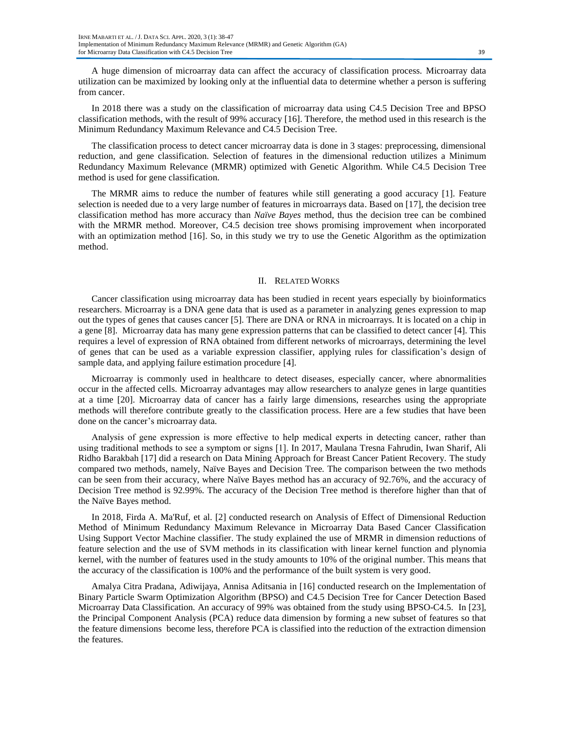A huge dimension of microarray data can affect the accuracy of classification process. Microarray data utilization can be maximized by looking only at the influential data to determine whether a person is suffering from cancer.

In 2018 there was a study on the classification of microarray data using C4.5 Decision Tree and BPSO classification methods, with the result of 99% accuracy [16]. Therefore, the method used in this research is the Minimum Redundancy Maximum Relevance and C4.5 Decision Tree.

The classification process to detect cancer microarray data is done in 3 stages: preprocessing, dimensional reduction, and gene classification. Selection of features in the dimensional reduction utilizes a Minimum Redundancy Maximum Relevance (MRMR) optimized with Genetic Algorithm. While C4.5 Decision Tree method is used for gene classification.

The MRMR aims to reduce the number of features while still generating a good accuracy [1]. Feature selection is needed due to a very large number of features in microarrays data. Based on [17], the decision tree classification method has more accuracy than *Naïve Bayes* method, thus the decision tree can be combined with the MRMR method. Moreover, C4.5 decision tree shows promising improvement when incorporated with an optimization method [16]. So, in this study we try to use the Genetic Algorithm as the optimization method.

#### II. RELATED WORKS

Cancer classification using microarray data has been studied in recent years especially by bioinformatics researchers. Microarray is a DNA gene data that is used as a parameter in analyzing genes expression to map out the types of genes that causes cancer [5]. There are DNA or RNA in microarrays. It is located on a chip in a gene [8]. Microarray data has many gene expression patterns that can be classified to detect cancer [4]. This requires a level of expression of RNA obtained from different networks of microarrays, determining the level of genes that can be used as a variable expression classifier, applying rules for classification's design of sample data, and applying failure estimation procedure [4].

Microarray is commonly used in healthcare to detect diseases, especially cancer, where abnormalities occur in the affected cells. Microarray advantages may allow researchers to analyze genes in large quantities at a time [20]. Microarray data of cancer has a fairly large dimensions, researches using the appropriate methods will therefore contribute greatly to the classification process. Here are a few studies that have been done on the cancer's microarray data.

Analysis of gene expression is more effective to help medical experts in detecting cancer, rather than using traditional methods to see a symptom or signs [1]. In 2017, Maulana Tresna Fahrudin, Iwan Sharif, Ali Ridho Barakbah [17] did a research on Data Mining Approach for Breast Cancer Patient Recovery. The study compared two methods, namely, Naïve Bayes and Decision Tree. The comparison between the two methods can be seen from their accuracy, where Naïve Bayes method has an accuracy of 92.76%, and the accuracy of Decision Tree method is 92.99%. The accuracy of the Decision Tree method is therefore higher than that of the Naïve Bayes method.

In 2018, Firda A. Ma'Ruf, et al. [2] conducted research on Analysis of Effect of Dimensional Reduction Method of Minimum Redundancy Maximum Relevance in Microarray Data Based Cancer Classification Using Support Vector Machine classifier. The study explained the use of MRMR in dimension reductions of feature selection and the use of SVM methods in its classification with linear kernel function and plynomia kernel, with the number of features used in the study amounts to 10% of the original number. This means that the accuracy of the classification is 100% and the performance of the built system is very good.

Amalya Citra Pradana, Adiwijaya, Annisa Aditsania in [16] conducted research on the Implementation of Binary Particle Swarm Optimization Algorithm (BPSO) and C4.5 Decision Tree for Cancer Detection Based Microarray Data Classification. An accuracy of 99% was obtained from the study using BPSO-C4.5. In [23], the Principal Component Analysis (PCA) reduce data dimension by forming a new subset of features so that the feature dimensions become less, therefore PCA is classified into the reduction of the extraction dimension the features.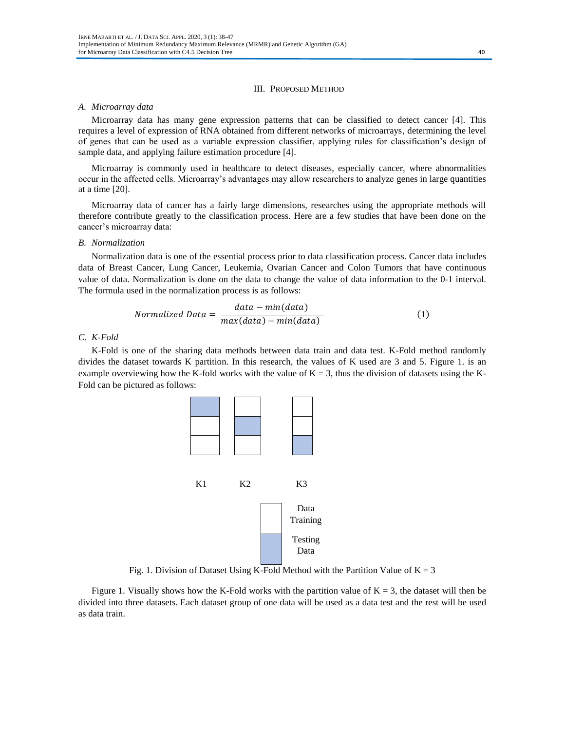#### III. PROPOSED METHOD

## *A. Microarray data*

Microarray data has many gene expression patterns that can be classified to detect cancer [4]. This requires a level of expression of RNA obtained from different networks of microarrays, determining the level of genes that can be used as a variable expression classifier, applying rules for classification's design of sample data, and applying failure estimation procedure [4].

Microarray is commonly used in healthcare to detect diseases, especially cancer, where abnormalities occur in the affected cells. Microarray's advantages may allow researchers to analyze genes in large quantities at a time [20].

Microarray data of cancer has a fairly large dimensions, researches using the appropriate methods will therefore contribute greatly to the classification process. Here are a few studies that have been done on the cancer's microarray data:

#### *B. Normalization*

Normalization data is one of the essential process prior to data classification process. Cancer data includes data of Breast Cancer, Lung Cancer, Leukemia, Ovarian Cancer and Colon Tumors that have continuous value of data. Normalization is done on the data to change the value of data information to the 0-1 interval. The formula used in the normalization process is as follows:

$$
Normalized Data = \frac{data - min(data)}{max(data) - min(data)}
$$
(1)

#### *C. K-Fold*

K-Fold is one of the sharing data methods between data train and data test. K-Fold method randomly divides the dataset towards K partition. In this research, the values of K used are 3 and 5. Figure 1. is an example overviewing how the K-fold works with the value of  $K = 3$ , thus the division of datasets using the K-Fold can be pictured as follows:



Fig. 1. Division of Dataset Using K-Fold Method with the Partition Value of  $K = 3$ 

Figure 1. Visually shows how the K-Fold works with the partition value of  $K = 3$ , the dataset will then be divided into three datasets. Each dataset group of one data will be used as a data test and the rest will be used as data train.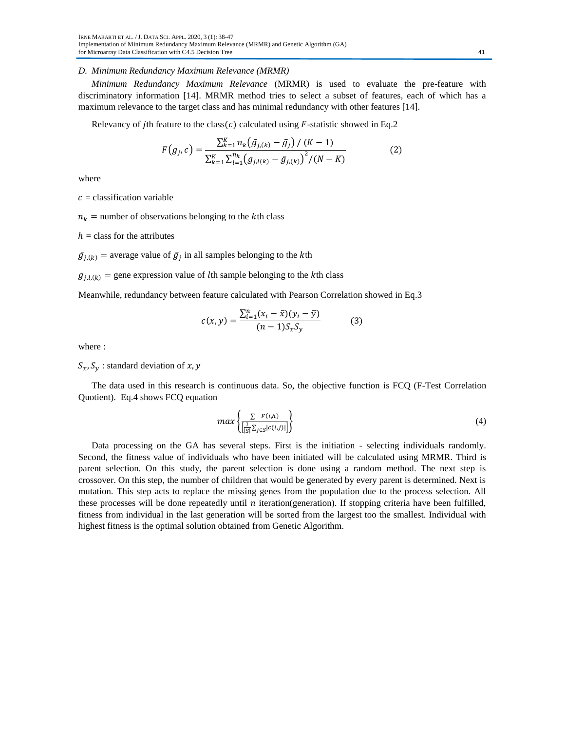# *D. Minimum Redundancy Maximum Relevance (MRMR)*

*Minimum Redundancy Maximum Relevance* (MRMR) is used to evaluate the pre-feature with discriminatory information [14]. MRMR method tries to select a subset of features, each of which has a maximum relevance to the target class and has minimal redundancy with other features [14].

Relevancy of jth feature to the class(c) calculated using  $F$ -statistic showed in Eq.2

$$
F(g_j, c) = \frac{\sum_{k=1}^{K} n_k (\bar{g}_{j,(k)} - \bar{g}_j) / (K - 1)}{\sum_{k=1}^{K} \sum_{l=1}^{n_k} (g_{j,l(k)} - \bar{g}_{j,(k)})^2 / (N - K)}
$$
(2)

where

 $c =$  classification variable

 $n_k$  = number of observations belonging to the kth class

 $h =$  class for the attributes

 $\bar{g}_{j,(k)}$  = average value of  $\bar{g}_j$  in all samples belonging to the kth

 $g_{j,l,(k)}$  = gene expression value of lth sample belonging to the kth class

Meanwhile, redundancy between feature calculated with Pearson Correlation showed in Eq.3

$$
c(x,y) = \frac{\sum_{i=1}^{n} (x_i - \bar{x})(y_i - \bar{y})}{(n-1)S_xS_y}
$$
 (3)

where :

 $S_x$ ,  $S_y$ : standard deviation of x, y

The data used in this research is continuous data. So, the objective function is FCQ (F-Test Correlation Quotient). Eq.4 shows FCQ equation

$$
max\left\{\frac{\sum F(i,h)}{\left[\frac{1}{|S|}\sum_{j\in S}|c(i,j)|\right]}\right\}
$$
(4)

Data processing on the GA has several steps. First is the initiation - selecting individuals randomly. Second, the fitness value of individuals who have been initiated will be calculated using MRMR. Third is parent selection. On this study, the parent selection is done using a random method. The next step is crossover. On this step, the number of children that would be generated by every parent is determined. Next is mutation. This step acts to replace the missing genes from the population due to the process selection. All these processes will be done repeatedly until  $n$  iteration(generation). If stopping criteria have been fulfilled, fitness from individual in the last generation will be sorted from the largest too the smallest. Individual with highest fitness is the optimal solution obtained from Genetic Algorithm.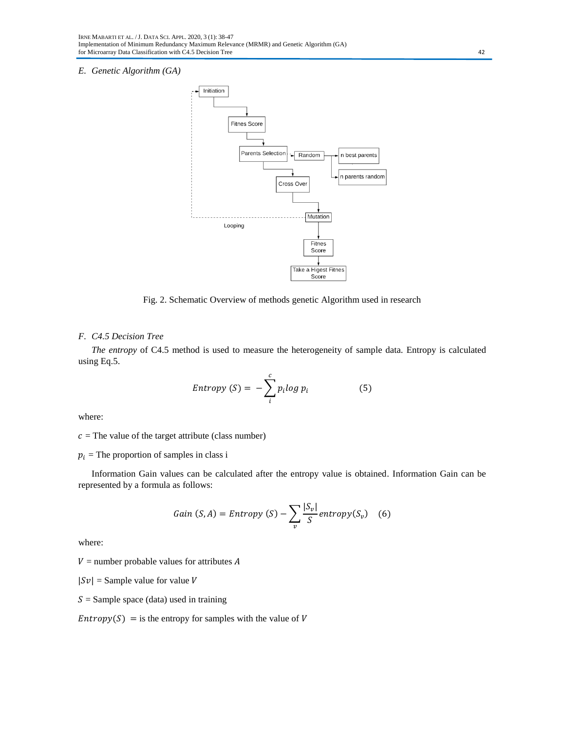# *E. Genetic Algorithm (GA)*



Fig. 2. Schematic Overview of methods genetic Algorithm used in research

# *F. C4.5 Decision Tree*

*The entropy* of C4.5 method is used to measure the heterogeneity of sample data. Entropy is calculated using Eq.5.

$$
Entropy(S) = -\sum_{i}^{c} p_i \log p_i \tag{5}
$$

where:

 $c =$ The value of the target attribute (class number)

 $p_i$  = The proportion of samples in class i

Information Gain values can be calculated after the entropy value is obtained. Information Gain can be represented by a formula as follows:

Gain 
$$
(S, A)
$$
 = Entropy  $(S) - \sum_{v} \frac{|S_v|}{S}$  entropy  $(S_v)$  (6)

where:

 $V =$  number probable values for attributes A

 $|Sv|$  = Sample value for value V

 $S =$  Sample space (data) used in training

 $Entropy(S) =$  is the entropy for samples with the value of V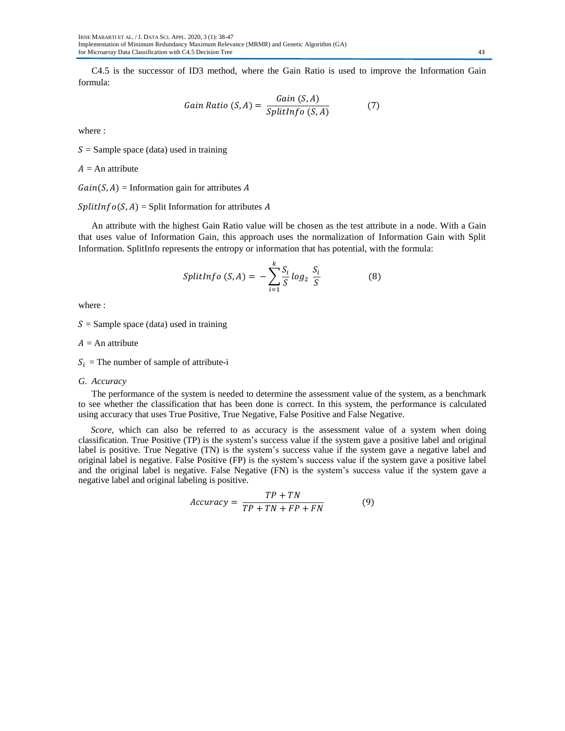C4.5 is the successor of ID3 method, where the Gain Ratio is used to improve the Information Gain formula:

Gain Ratio 
$$
(S, A) = \frac{Gain (S, A)}{SplitInfo (S, A)}
$$
 (7)

where :

 $S =$  Sample space (data) used in training

 $A = An$  attribute

 $Gain(S, A) = Information gain for attributes A$ 

 $SplitInfo(S, A) = Split Information for attributes A$ 

An attribute with the highest Gain Ratio value will be chosen as the test attribute in a node. With a Gain that uses value of Information Gain, this approach uses the normalization of Information Gain with Split Information. SplitInfo represents the entropy or information that has potential, with the formula:

$$
SplitInfo(S, A) = -\sum_{i=1}^{k} \frac{S_i}{S} log_2 \frac{S_i}{S}
$$
 (8)

where :

 $S =$  Sample space (data) used in training

 $A = An$  attribute

 $S_i$  = The number of sample of attribute-i

*G. Accuracy*

The performance of the system is needed to determine the assessment value of the system, as a benchmark to see whether the classification that has been done is correct. In this system, the performance is calculated using accuracy that uses True Positive, True Negative, False Positive and False Negative.

*Score,* which can also be referred to as accuracy is the assessment value of a system when doing classification. True Positive (TP) is the system's success value if the system gave a positive label and original label is positive. True Negative (TN) is the system's success value if the system gave a negative label and original label is negative. False Positive (FP) is the system's success value if the system gave a positive label and the original label is negative. False Negative (FN) is the system's success value if the system gave a negative label and original labeling is positive.

$$
Accuracy = \frac{TP + TN}{TP + TN + FP + FN}
$$
 (9)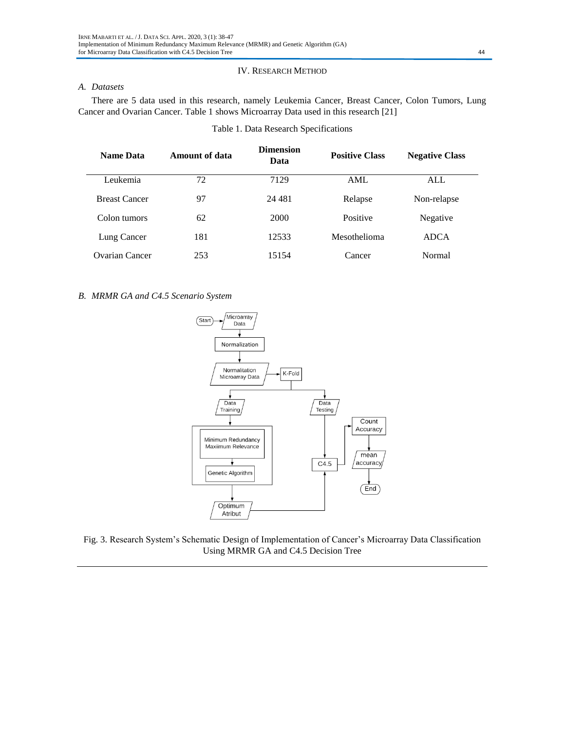# IV. RESEARCH METHOD

# *A. Datasets*

There are 5 data used in this research, namely Leukemia Cancer, Breast Cancer, Colon Tumors, Lung Cancer and Ovarian Cancer. Table 1 shows Microarray Data used in this research [21]

| <b>Name Data</b>      | Amount of data | <b>Dimension</b><br>Data | <b>Positive Class</b> | <b>Negative Class</b> |  |
|-----------------------|----------------|--------------------------|-----------------------|-----------------------|--|
| Leukemia              | 72             | 7129                     | AML                   | ALL                   |  |
| <b>Breast Cancer</b>  | 97             | 24 481                   | Relapse               | Non-relapse           |  |
| Colon tumors          | 62             | 2000                     | Positive              | Negative              |  |
| Lung Cancer           | 181            | 12533                    | Mesothelioma          | <b>ADCA</b>           |  |
| <b>Ovarian Cancer</b> | 253            | 15154                    | Cancer                | Normal                |  |

# Table 1. Data Research Specifications

## *B. MRMR GA and C4.5 Scenario System*



Fig. 3. Research System's Schematic Design of Implementation of Cancer's Microarray Data Classification Using MRMR GA and C4.5 Decision Tree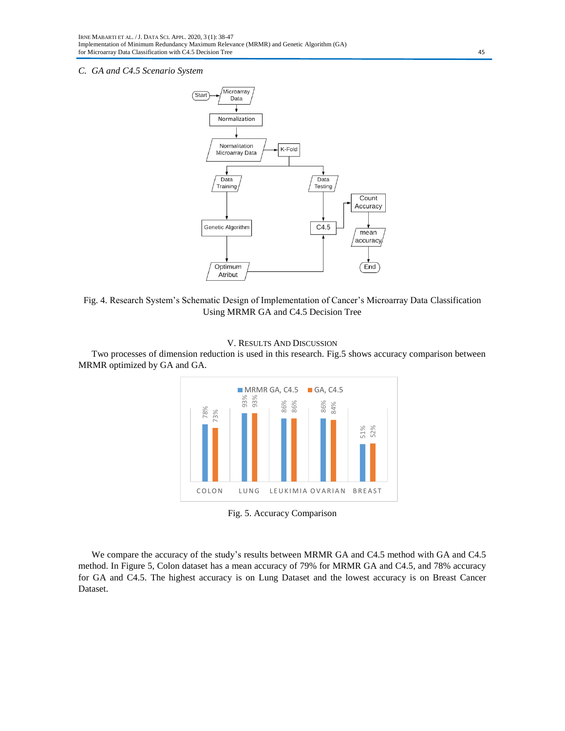### *C. GA and C4.5 Scenario System*



Fig. 4. Research System's Schematic Design of Implementation of Cancer's Microarray Data Classification Using MRMR GA and C4.5 Decision Tree





Two processes of dimension reduction is used in this research. Fig.5 shows accuracy comparison between MRMR optimized by GA and GA.

Fig. 5. Accuracy Comparison

We compare the accuracy of the study's results between MRMR GA and C4.5 method with GA and C4.5 method. In Figure 5, Colon dataset has a mean accuracy of 79% for MRMR GA and C4.5, and 78% accuracy for GA and C4.5. The highest accuracy is on Lung Dataset and the lowest accuracy is on Breast Cancer Dataset.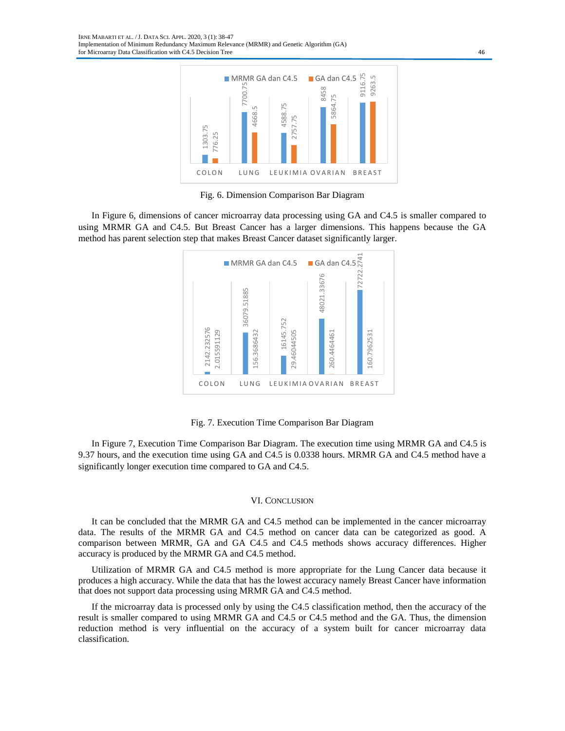

Fig. 6. Dimension Comparison Bar Diagram

In Figure 6, dimensions of cancer microarray data processing using GA and C4.5 is smaller compared to using MRMR GA and C4.5. But Breast Cancer has a larger dimensions. This happens because the GA method has parent selection step that makes Breast Cancer dataset significantly larger.



Fig. 7. Execution Time Comparison Bar Diagram

In Figure 7, Execution Time Comparison Bar Diagram. The execution time using MRMR GA and C4.5 is 9.37 hours, and the execution time using GA and C4.5 is 0.0338 hours. MRMR GA and C4.5 method have a significantly longer execution time compared to GA and C4.5.

#### VI. CONCLUSION

It can be concluded that the MRMR GA and C4.5 method can be implemented in the cancer microarray data. The results of the MRMR GA and C4.5 method on cancer data can be categorized as good. A comparison between MRMR, GA and GA C4.5 and C4.5 methods shows accuracy differences. Higher accuracy is produced by the MRMR GA and C4.5 method.

Utilization of MRMR GA and C4.5 method is more appropriate for the Lung Cancer data because it produces a high accuracy. While the data that has the lowest accuracy namely Breast Cancer have information that does not support data processing using MRMR GA and C4.5 method.

If the microarray data is processed only by using the C4.5 classification method, then the accuracy of the result is smaller compared to using MRMR GA and C4.5 or C4.5 method and the GA. Thus, the dimension reduction method is very influential on the accuracy of a system built for cancer microarray data classification.